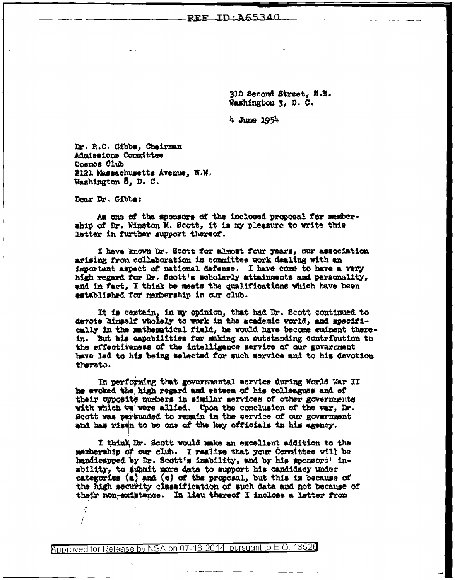## REF ID: A65340

310 Second Street, S.E. Washington 3, D. C.

 $4$  June 1954

Dr. R.C. Gibbs, Chairman Admissions Committee Cosmos Club 2121 Massachusetts Avenue, N.W. Washington 8, D. C.

Dear Dr. Gibbs:

 $\frac{\theta}{l}$ 

As one of the aponsors of the inclosed proposal for membership of Dr. Winston M. Scott, it is my pleasure to write this letter in further support thereof.

I have known Dr. Scott for almost four years, our association arising from collaboration in committee work dealing with an important aspect of national dafense. I have come to have a very high regard for Dr. Scott's scholarly attainments and personality, and in fact, I think he meets the qualifications which have been astablished for membership in our club.

It is certain, in my opinion, that had Dr. Scott continued to devote himself wholely to work in the academic world, and specifically in the mathematical field, he would have become eminent therein. But his capabilities for making an outstanding contribution to the effectiveness of the intelligence service of our government have led to his being selected for such service and to his devotion tharato.

In performing that governmental service during World War II he evoked the high regard and esteem of his colleagues and of their opposite numbers in similar services of other governments with which we were allied. Upon the conclusion of the war, Dr. Scott was parsunded to remain in the service of our government and has risen to be one of the key officials in his agency.

I think Dr. Scott would make an excellent addition to the membership of our club. I realize that your Committee will be handicapped by Dr. Scott's inability, and by his sponsors' inability, to aubmit more data to support his candidacy under categories  $(a)$  and  $(c)$  of the proposal, but this is because of the high security classification of such data and not because of their non-existence. In lieu thereof I inclose a letter from

Approved for Release by NSA on 07-18-2014 pursuant to E.O. 13526